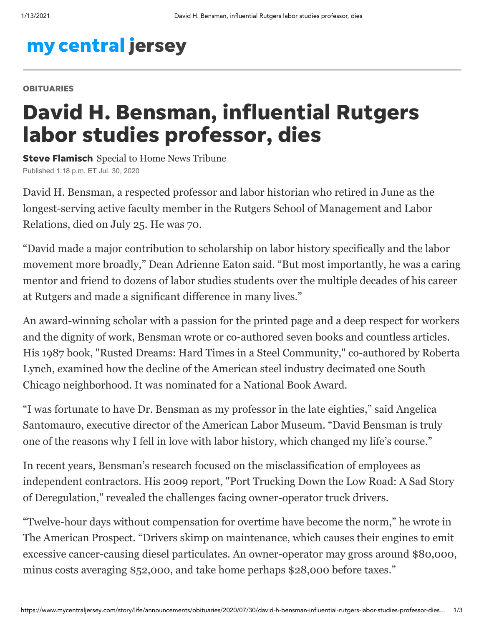## my central jersey

## **OBITUARIES**

## David H. Bensman, influential Rutgers labor studies professor, dies

**Steve Flamisch** Special to Home News Tribune Published 1:18 p.m. ET Jul. 30, 2020

[David H. Bensman](https://smlr.rutgers.edu/faculty-staff/david-bensman), a respected professor and labor historian who retired in June as the longest-serving active faculty member in the Rutgers School of Management and Labor Relations, died on July 25. He was 70.

"David made a major contribution to scholarship on labor history specifically and the labor movement more broadly," Dean Adrienne Eaton said. "But most importantly, he was a caring mentor and friend to dozens of labor studies students over the multiple decades of his career at Rutgers and made a significant difference in many lives."

An award-winning scholar with a passion for the printed page and a deep respect for workers and the dignity of work, Bensman wrote or co-authored seven books and countless articles. His 1987 book, ["Rusted Dreams: Hard Times in a Steel Community,"](https://www.amazon.com/Rusted-Dreams-Times-Steel-Community/dp/0070047812) co-authored by Roberta Lynch, examined how the decline of the American steel industry decimated one South Chicago neighborhood. It was nominated for a National Book Award.

"I was fortunate to have Dr. Bensman as my professor in the late eighties," said Angelica Santomauro, executive director of the American Labor Museum. "David Bensman is truly one of the reasons why I fell in love with labor history, which changed my life's course."

In recent years, Bensman's research focused on the misclassification of employees as [independent contractors. His 2009 report, "Port Trucking Down the Low Road: A Sad Story](https://www.demos.org/sites/default/files/publications/Port%20Trucking%20Down%20the%20Low%20Road.pdf) of Deregulation," revealed the challenges facing owner-operator truck drivers.

"Twelve-hour days without compensation for overtime have become the norm," he wrote in [The American Prospect](https://prospect.org/special-report/stuck-low-road/). "Drivers skimp on maintenance, which causes their engines to emit excessive cancer-causing diesel particulates. An owner-operator may gross around \$80,000, minus costs averaging \$52,000, and take home perhaps \$28,000 before taxes."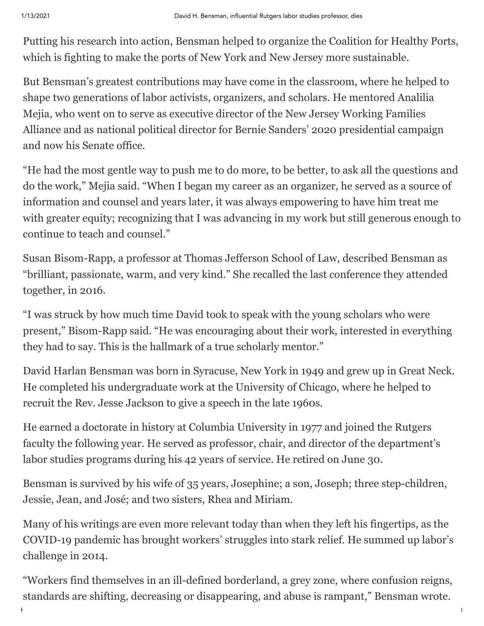Putting his research into action, Bensman helped to organize the Coalition for Healthy Ports, which is fighting to make the ports of New York and New Jersey more sustainable.

But Bensman's greatest contributions may have come in the classroom, where he helped to shape two generations of labor activists, organizers, and scholars. He mentored Analilia Mejia, who went on to serve as executive director of the New Jersey Working Families Alliance and as [national political director](https://www.rutgers.edu/news/white-house-or-bust-rutgers-alumna) for Bernie Sanders' 2020 presidential campaign and now his Senate office.

"He had the most gentle way to push me to do more, to be better, to ask all the questions and do the work," Mejia said. "When I began my career as an organizer, he served as a source of information and counsel and years later, it was always empowering to have him treat me with greater equity; recognizing that I was advancing in my work but still generous enough to continue to teach and counsel."

Susan Bisom-Rapp, a professor at Thomas Jefferson School of Law, described Bensman as "brilliant, passionate, warm, and very kind." She recalled the last conference they attended together, in 2016.

"I was struck by how much time David took to speak with the young scholars who were present," Bisom-Rapp said. "He was encouraging about their work, interested in everything they had to say. This is the hallmark of a true scholarly mentor."

David Harlan Bensman was born in Syracuse, New York in 1949 and grew up in Great Neck. He completed his undergraduate work at the University of Chicago, where he helped to recruit the Rev. Jesse Jackson to give a speech in the late 1960s.

He earned a doctorate in history at Columbia University in 1977 and joined the Rutgers faculty the following year. He served as professor, chair, and director of the department's labor studies programs during his 42 years of service. He retired on June 30.

Bensman is survived by his wife of 35 years, Josephine; a son, Joseph; three step-children, Jessie, Jean, and José; and two sisters, Rhea and Miriam.

Many of his writings are even more relevant today than when they left his fingertips, as the COVID-19 pandemic has brought workers' struggles into stark relief. [He summed up](https://prospect.org/power/workers-edge/) labor's challenge in 2014.

"Workers find themselves in an ill-defined borderland, a grey zone, where confusion reigns, standards are shifting, decreasing or disappearing, and abuse is rampant," Bensman wrote.

https://www.mycentraljersey.com/story/life/announcements/obituaries/2020/07/30/david-h-bensman-influential-rutgers-labor-studies-professor-dies… 2/3